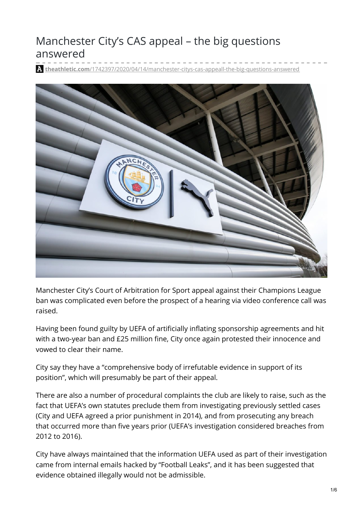# Manchester City's CAS appeal – the big questions answered

**theathletic.com**[/1742397/2020/04/14/manchester-citys-cas-appeall-the-big-questions-answered](https://theathletic.com/1742397/2020/04/14/manchester-citys-cas-appeall%EF%BB%BF-the-big-questions-answered/)



Manchester City's Court of Arbitration for Sport appeal against their Champions League ban was complicated even before the prospect of a hearing via video conference call was raised.

Having been found guilty by UEFA of artificially inflating sponsorship agreements and hit with a two-year ban and £25 million fine, City once again protested their innocence and vowed to clear their name.

City say they have a "comprehensive body of irrefutable evidence in support of its position", which will presumably be part of their appeal.

There are also a number of procedural complaints the club are likely to raise, such as the fact that UEFA's own statutes preclude them from investigating previously settled cases (City and UEFA agreed a prior punishment in 2014), and from prosecuting any breach that occurred more than five years prior (UEFA's investigation considered breaches from 2012 to 2016).

City have always maintained that the information UEFA used as part of their investigation came from internal emails hacked by "Football Leaks", and it has been suggested that evidence obtained illegally would not be admissible.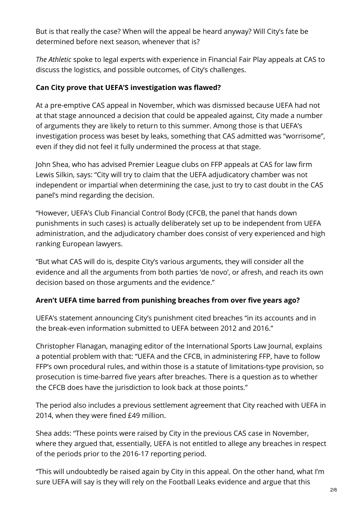But is that really the case? When will the appeal be heard anyway? Will City's fate be determined before next season, whenever that is?

*The Athletic* spoke to legal experts with experience in Financial Fair Play appeals at CAS to discuss the logistics, and possible outcomes, of City's challenges.

#### **Can City prove that UEFA'S investigation was flawed?**

At a pre-emptive CAS appeal in November, which was dismissed because UEFA had not at that stage announced a decision that could be appealed against, City made a number of arguments they are likely to return to this summer. Among those is that UEFA's investigation process was beset by leaks, something that CAS admitted was "worrisome", even if they did not feel it fully undermined the process at that stage.

John Shea, who has advised Premier League clubs on FFP appeals at CAS for law firm Lewis Silkin, says: "City will try to claim that the UEFA adjudicatory chamber was not independent or impartial when determining the case, just to try to cast doubt in the CAS panel's mind regarding the decision.

"However, UEFA's Club Financial Control Body (CFCB, the panel that hands down punishments in such cases) is actually deliberately set up to be independent from UEFA administration, and the adjudicatory chamber does consist of very experienced and high ranking European lawyers.

"But what CAS will do is, despite City's various arguments, they will consider all the evidence and all the arguments from both parties 'de novo', or afresh, and reach its own decision based on those arguments and the evidence."

#### **Aren't UEFA time barred from punishing breaches from over five years ago?**

UEFA's statement announcing City's punishment cited breaches "in its accounts and in the break-even information submitted to UEFA between 2012 and 2016."

Christopher Flanagan, managing editor of the International Sports Law Journal, explains a potential problem with that: "UEFA and the CFCB, in administering FFP, have to follow FFP's own procedural rules, and within those is a statute of limitations-type provision, so prosecution is time-barred five years after breaches. There is a question as to whether the CFCB does have the jurisdiction to look back at those points."

The period also includes a previous settlement agreement that City reached with UEFA in 2014, when they were fined £49 million.

Shea adds: "These points were raised by City in the previous CAS case in November, where they argued that, essentially, UEFA is not entitled to allege any breaches in respect of the periods prior to the 2016-17 reporting period.

"This will undoubtedly be raised again by City in this appeal. On the other hand, what I'm sure UEFA will say is they will rely on the Football Leaks evidence and argue that this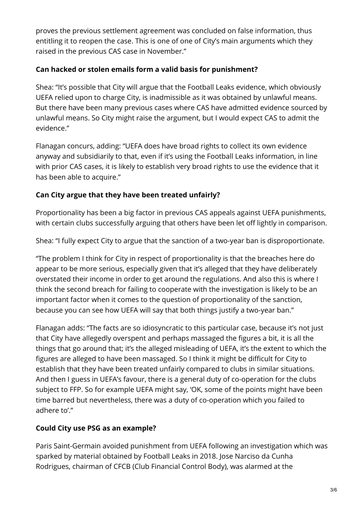proves the previous settlement agreement was concluded on false information, thus entitling it to reopen the case. This is one of one of City's main arguments which they raised in the previous CAS case in November."

#### **Can hacked or stolen emails form a valid basis for punishment?**

Shea: "It's possible that City will argue that the Football Leaks evidence, which obviously UEFA relied upon to charge City, is inadmissible as it was obtained by unlawful means. But there have been many previous cases where CAS have admitted evidence sourced by unlawful means. So City might raise the argument, but I would expect CAS to admit the evidence."

Flanagan concurs, adding: "UEFA does have broad rights to collect its own evidence anyway and subsidiarily to that, even if it's using the Football Leaks information, in line with prior CAS cases, it is likely to establish very broad rights to use the evidence that it has been able to acquire."

#### **Can City argue that they have been treated unfairly?**

Proportionality has been a big factor in previous CAS appeals against UEFA punishments, with certain clubs successfully arguing that others have been let off lightly in comparison.

Shea: "I fully expect City to argue that the sanction of a two-year ban is disproportionate.

"The problem I think for City in respect of proportionality is that the breaches here do appear to be more serious, especially given that it's alleged that they have deliberately overstated their income in order to get around the regulations. And also this is where I think the second breach for failing to cooperate with the investigation is likely to be an important factor when it comes to the question of proportionality of the sanction, because you can see how UEFA will say that both things justify a two-year ban."

Flanagan adds: "The facts are so idiosyncratic to this particular case, because it's not just that City have allegedly overspent and perhaps massaged the figures a bit, it is all the things that go around that; it's the alleged misleading of UEFA, it's the extent to which the figures are alleged to have been massaged. So I think it might be difficult for City to establish that they have been treated unfairly compared to clubs in similar situations. And then I guess in UEFA's favour, there is a general duty of co-operation for the clubs subject to FFP. So for example UEFA might say, 'OK, some of the points might have been time barred but nevertheless, there was a duty of co-operation which you failed to adhere to'."

## **Could City use PSG as an example?**

Paris Saint-Germain avoided punishment from UEFA following an investigation which was sparked by material obtained by Football Leaks in 2018. Jose Narciso da Cunha Rodrigues, chairman of CFCB (Club Financial Control Body), was alarmed at the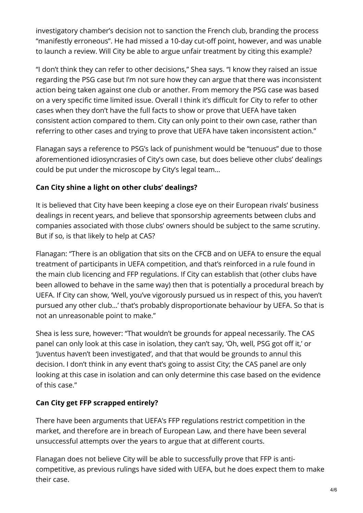investigatory chamber's decision not to sanction the French club, branding the process "manifestly erroneous". He had missed a 10-day cut-off point, however, and was unable to launch a review. Will City be able to argue unfair treatment by citing this example?

"I don't think they can refer to other decisions," Shea says. "I know they raised an issue regarding the PSG case but I'm not sure how they can argue that there was inconsistent action being taken against one club or another. From memory the PSG case was based on a very specific time limited issue. Overall I think it's difficult for City to refer to other cases when they don't have the full facts to show or prove that UEFA have taken consistent action compared to them. City can only point to their own case, rather than referring to other cases and trying to prove that UEFA have taken inconsistent action."

Flanagan says a reference to PSG's lack of punishment would be "tenuous" due to those aforementioned idiosyncrasies of City's own case, but does believe other clubs' dealings could be put under the microscope by City's legal team…

## **Can City shine a light on other clubs' dealings?**

It is believed that City have been keeping a close eye on their European rivals' business dealings in recent years, and believe that sponsorship agreements between clubs and companies associated with those clubs' owners should be subject to the same scrutiny. But if so, is that likely to help at CAS?

Flanagan: "There is an obligation that sits on the CFCB and on UEFA to ensure the equal treatment of participants in UEFA competition, and that's reinforced in a rule found in the main club licencing and FFP regulations. If City can establish that (other clubs have been allowed to behave in the same way) then that is potentially a procedural breach by UEFA. If City can show, 'Well, you've vigorously pursued us in respect of this, you haven't pursued any other club…' that's probably disproportionate behaviour by UEFA. So that is not an unreasonable point to make."

Shea is less sure, however: "That wouldn't be grounds for appeal necessarily. The CAS panel can only look at this case in isolation, they can't say, 'Oh, well, PSG got off it,' or 'Juventus haven't been investigated', and that that would be grounds to annul this decision. I don't think in any event that's going to assist City; the CAS panel are only looking at this case in isolation and can only determine this case based on the evidence of this case."

## **Can City get FFP scrapped entirely?**

There have been arguments that UEFA's FFP regulations restrict competition in the market, and therefore are in breach of European Law, and there have been several unsuccessful attempts over the years to argue that at different courts.

Flanagan does not believe City will be able to successfully prove that FFP is anticompetitive, as previous rulings have sided with UEFA, but he does expect them to make their case.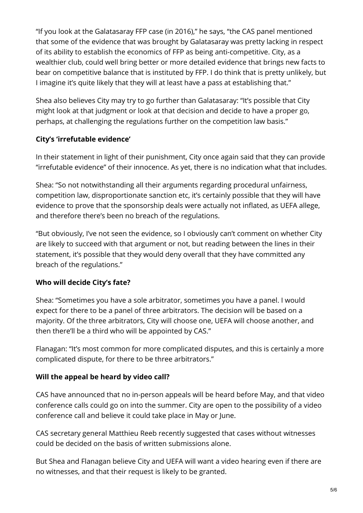"If you look at the Galatasaray FFP case (in 2016)," he says, "the CAS panel mentioned that some of the evidence that was brought by Galatasaray was pretty lacking in respect of its ability to establish the economics of FFP as being anti-competitive. City, as a wealthier club, could well bring better or more detailed evidence that brings new facts to bear on competitive balance that is instituted by FFP. I do think that is pretty unlikely, but I imagine it's quite likely that they will at least have a pass at establishing that."

Shea also believes City may try to go further than Galatasaray: "It's possible that City might look at that judgment or look at that decision and decide to have a proper go, perhaps, at challenging the regulations further on the competition law basis."

## **City's 'irrefutable evidence'**

In their statement in light of their punishment, City once again said that they can provide "irrefutable evidence" of their innocence. As yet, there is no indication what that includes.

Shea: "So not notwithstanding all their arguments regarding procedural unfairness, competition law, disproportionate sanction etc, it's certainly possible that they will have evidence to prove that the sponsorship deals were actually not inflated, as UEFA allege, and therefore there's been no breach of the regulations.

"But obviously, I've not seen the evidence, so I obviously can't comment on whether City are likely to succeed with that argument or not, but reading between the lines in their statement, it's possible that they would deny overall that they have committed any breach of the regulations."

## **Who will decide City's fate?**

Shea: "Sometimes you have a sole arbitrator, sometimes you have a panel. I would expect for there to be a panel of three arbitrators. The decision will be based on a majority. Of the three arbitrators, City will choose one, UEFA will choose another, and then there'll be a third who will be appointed by CAS."

Flanagan: "It's most common for more complicated disputes, and this is certainly a more complicated dispute, for there to be three arbitrators."

## **Will the appeal be heard by video call?**

CAS have announced that no in-person appeals will be heard before May, and that video conference calls could go on into the summer. City are open to the possibility of a video conference call and believe it could take place in May or June.

CAS secretary general Matthieu Reeb recently suggested that cases without witnesses could be decided on the basis of written submissions alone.

But Shea and Flanagan believe City and UEFA will want a video hearing even if there are no witnesses, and that their request is likely to be granted.